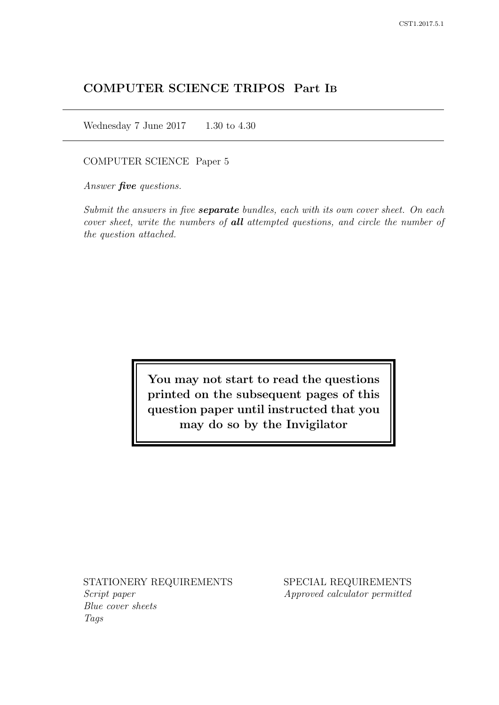# COMPUTER SCIENCE TRIPOS Part IB

Wednesday 7 June 2017 1.30 to 4.30

COMPUTER SCIENCE Paper 5

Answer *five* questions.

Submit the answers in five **separate** bundles, each with its own cover sheet. On each cover sheet, write the numbers of **all** attempted questions, and circle the number of the question attached.

> You may not start to read the questions printed on the subsequent pages of this question paper until instructed that you may do so by the Invigilator

STATIONERY REQUIREMENTS Script paper Blue cover sheets

Tags

SPECIAL REQUIREMENTS Approved calculator permitted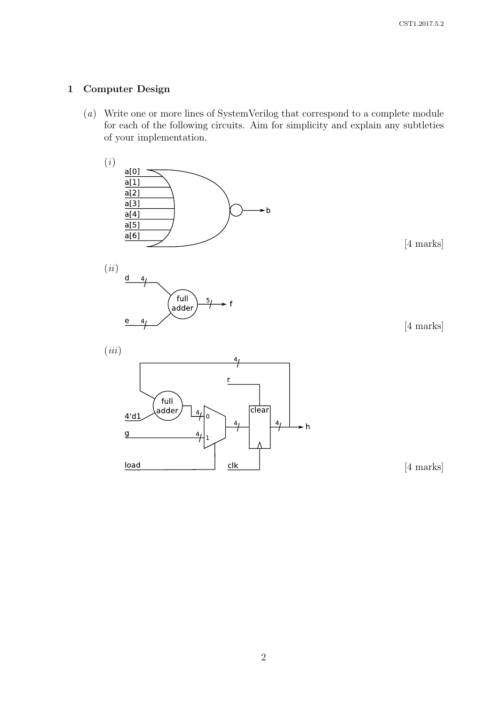## 1 Computer Design

(a) Write one or more lines of SystemVerilog that correspond to a complete module for each of the following circuits. Aim for simplicity and explain any subtleties of your implementation.

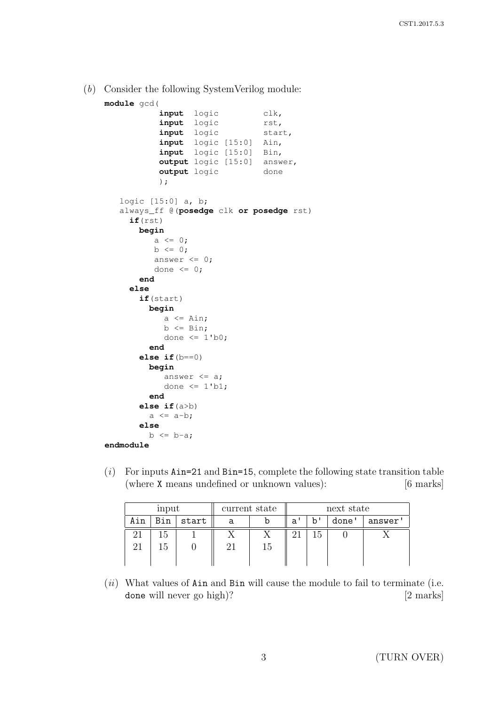(b) Consider the following SystemVerilog module:

```
module gcd(
           input logic clk,
          input logic rst,
          input logic start,
          input logic [15:0] Ain,
          input logic [15:0] Bin,
          output logic [15:0] answer,
          output logic done
          );
   logic [15:0] a, b;
   always_ff @(posedge clk or posedge rst)
     if(rst)
      begin
         a \leq 0;b \le 0;answer \leq 0;done <= 0;
       end
    else
      if(start)
        begin
           a \leq Ain;
           b \leq Bin;
           done \leq 1'b0;
        end
      else if(b==0)
        begin
           answer \leq a;
           done \leq 1'b1;
        end
       else if(a>b)
        a \leq a-b;else
        b \leq b-a;
endmodule
```
 $(i)$  For inputs Ain=21 and Bin=15, complete the following state transition table (where X means undefined or unknown values): [6 marks]

|     | input |       | current state |    | next state |    |       |         |
|-----|-------|-------|---------------|----|------------|----|-------|---------|
| Ain | Bin   | start | а             |    | a'         | b' | done' | answer' |
|     | r. I  |       |               |    |            |    |       |         |
|     |       |       |               | L. |            |    |       |         |
|     |       |       |               |    |            |    |       |         |

 $(ii)$  What values of Ain and Bin will cause the module to fail to terminate (i.e. done will never go high)? [2 marks]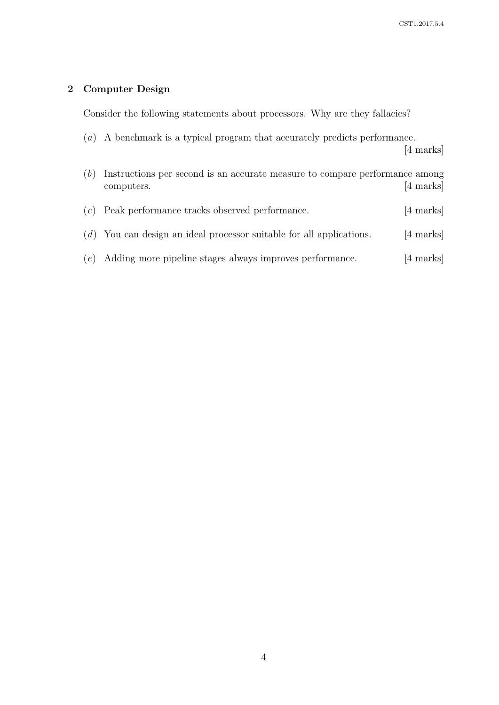CST1.2017.5.4

# 2 Computer Design

Consider the following statements about processors. Why are they fallacies?

(a) A benchmark is a typical program that accurately predicts performance.

| (b) | Instructions per second is an accurate measure to compare performance among<br>computers. | [4 marks]           |
|-----|-------------------------------------------------------------------------------------------|---------------------|
|     | $(c)$ Peak performance tracks observed performance.                                       | $[4 \text{ marks}]$ |
|     | $(d)$ You can design an ideal processor suitable for all applications.                    | $[4 \text{ marks}]$ |
|     | (e) Adding more pipeline stages always improves performance.                              | [4 marks]           |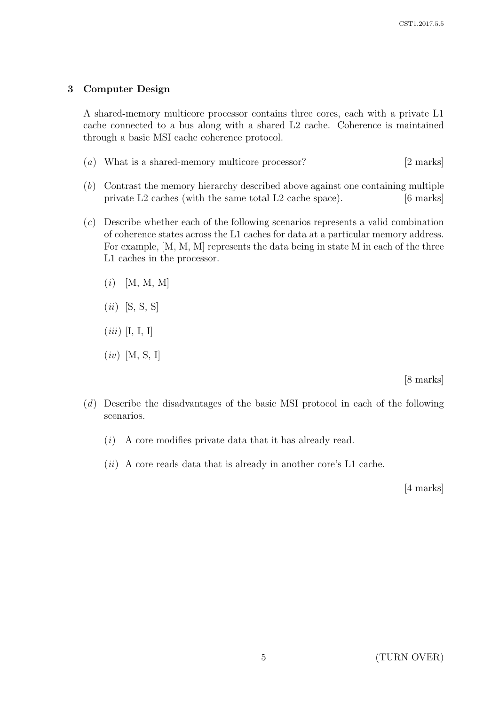#### 3 Computer Design

A shared-memory multicore processor contains three cores, each with a private L1 cache connected to a bus along with a shared L2 cache. Coherence is maintained through a basic MSI cache coherence protocol.

- (a) What is a shared-memory multicore processor? [2 marks]
- (b) Contrast the memory hierarchy described above against one containing multiple private L2 caches (with the same total L2 cache space). [6 marks]
- (c) Describe whether each of the following scenarios represents a valid combination of coherence states across the L1 caches for data at a particular memory address. For example, [M, M, M] represents the data being in state M in each of the three L1 caches in the processor.
	- $(i)$  [M, M, M]
	- $(ii)$  [S, S, S]
	- $(iii)$  [I, I, I]
	- $(iv)$  [M, S, I]

[8 marks]

- (d) Describe the disadvantages of the basic MSI protocol in each of the following scenarios.
	- (i) A core modifies private data that it has already read.
	- $(ii)$  A core reads data that is already in another core's L1 cache.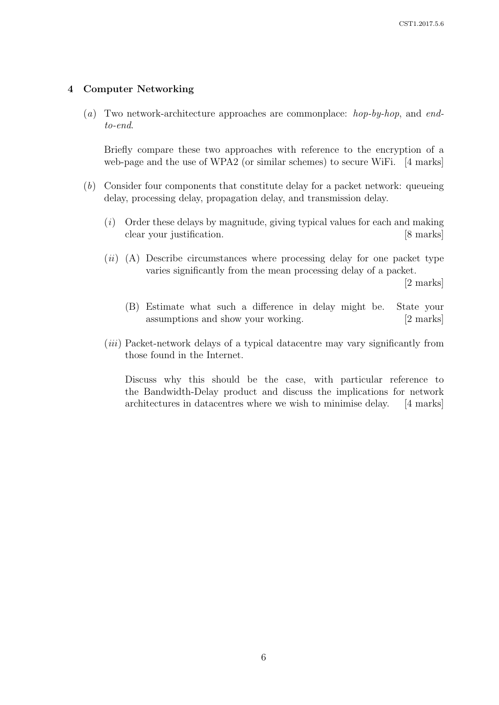#### 4 Computer Networking

(a) Two network-architecture approaches are commonplace: hop-by-hop, and endto-end.

Briefly compare these two approaches with reference to the encryption of a web-page and the use of WPA2 (or similar schemes) to secure WiFi. [4 marks]

- (b) Consider four components that constitute delay for a packet network: queueing delay, processing delay, propagation delay, and transmission delay.
	- (i) Order these delays by magnitude, giving typical values for each and making clear your justification. [8 marks]
	- $(ii)$  (A) Describe circumstances where processing delay for one packet type varies significantly from the mean processing delay of a packet.

[2 marks]

- (B) Estimate what such a difference in delay might be. State your assumptions and show your working. [2 marks]
- (*iii*) Packet-network delays of a typical datacentre may vary significantly from those found in the Internet.

Discuss why this should be the case, with particular reference to the Bandwidth-Delay product and discuss the implications for network architectures in datacentres where we wish to minimise delay. [4 marks]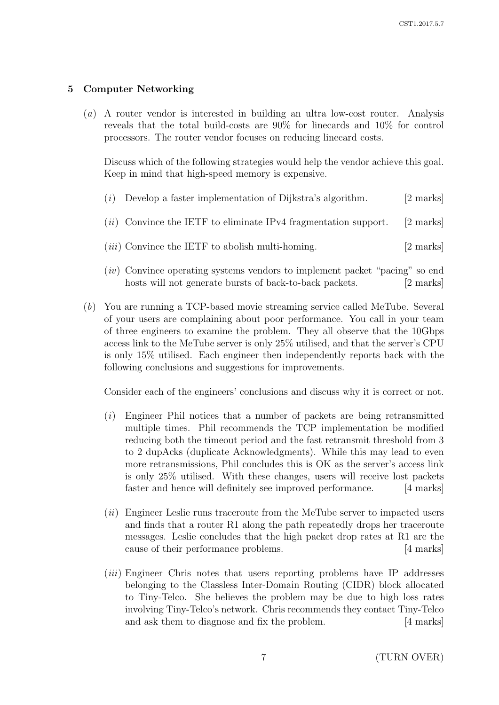## 5 Computer Networking

(a) A router vendor is interested in building an ultra low-cost router. Analysis reveals that the total build-costs are 90% for linecards and 10% for control processors. The router vendor focuses on reducing linecard costs.

Discuss which of the following strategies would help the vendor achieve this goal. Keep in mind that high-speed memory is expensive.

| (i) | Develop a faster implementation of Dijkstra's algorithm.          | $[2 \text{ marks}]$ |
|-----|-------------------------------------------------------------------|---------------------|
|     | $(ii)$ Convince the IETF to eliminate IPv4 fragmentation support. | [2 marks]           |
|     | $(iii)$ Convince the IETF to abolish multi-homing.                | $[2 \text{ marks}]$ |

- (iv) Convince operating systems vendors to implement packet "pacing" so end hosts will not generate bursts of back-to-back packets. [2 marks]
- (b) You are running a TCP-based movie streaming service called MeTube. Several of your users are complaining about poor performance. You call in your team of three engineers to examine the problem. They all observe that the 10Gbps access link to the MeTube server is only 25% utilised, and that the server's CPU is only 15% utilised. Each engineer then independently reports back with the following conclusions and suggestions for improvements.

Consider each of the engineers' conclusions and discuss why it is correct or not.

- (i) Engineer Phil notices that a number of packets are being retransmitted multiple times. Phil recommends the TCP implementation be modified reducing both the timeout period and the fast retransmit threshold from 3 to 2 dupAcks (duplicate Acknowledgments). While this may lead to even more retransmissions, Phil concludes this is OK as the server's access link is only 25% utilised. With these changes, users will receive lost packets faster and hence will definitely see improved performance. [4 marks]
- (ii) Engineer Leslie runs traceroute from the MeTube server to impacted users and finds that a router R1 along the path repeatedly drops her traceroute messages. Leslie concludes that the high packet drop rates at R1 are the cause of their performance problems. [4 marks]
- (*iii*) Engineer Chris notes that users reporting problems have IP addresses belonging to the Classless Inter-Domain Routing (CIDR) block allocated to Tiny-Telco. She believes the problem may be due to high loss rates involving Tiny-Telco's network. Chris recommends they contact Tiny-Telco and ask them to diagnose and fix the problem. [4 marks]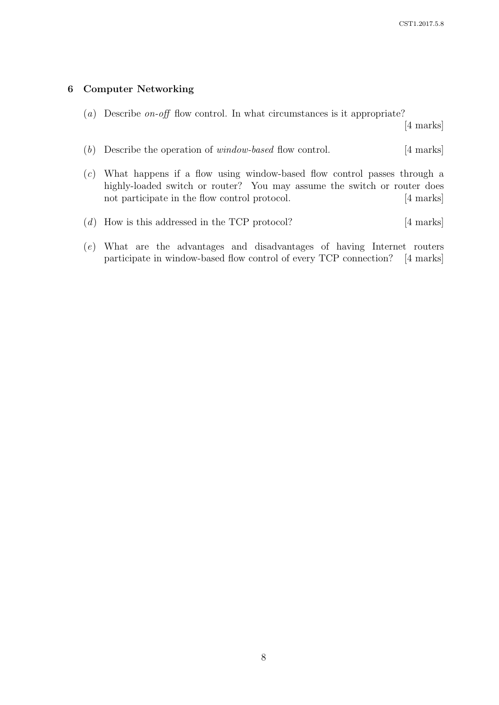#### 6 Computer Networking

(a) Describe on-off flow control. In what circumstances is it appropriate?

- (b) Describe the operation of *window-based* flow control. [4 marks]
- (c) What happens if a flow using window-based flow control passes through a highly-loaded switch or router? You may assume the switch or router does not participate in the flow control protocol. [4 marks]
- $(d)$  How is this addressed in the TCP protocol? [4 marks]
- (e) What are the advantages and disadvantages of having Internet routers participate in window-based flow control of every TCP connection? [4 marks]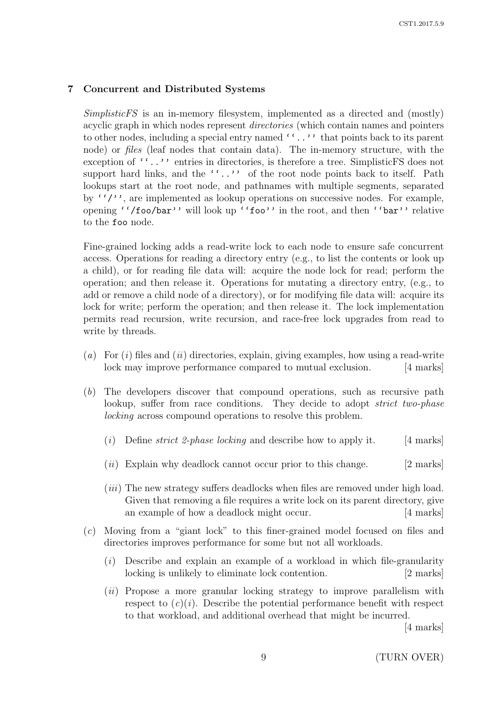### 7 Concurrent and Distributed Systems

SimplisticFS is an in-memory filesystem, implemented as a directed and (mostly) acyclic graph in which nodes represent directories (which contain names and pointers to other nodes, including a special entry named ''..'' that points back to its parent node) or files (leaf nodes that contain data). The in-memory structure, with the exception of  $''.'.'$  entries in directories, is therefore a tree. SimplisticFS does not support hard links, and the ''..'' of the root node points back to itself. Path lookups start at the root node, and pathnames with multiple segments, separated by  $''/'$ , are implemented as lookup operations on successive nodes. For example, opening ''/foo/bar'' will look up ''foo'' in the root, and then ''bar'' relative to the foo node.

Fine-grained locking adds a read-write lock to each node to ensure safe concurrent access. Operations for reading a directory entry (e.g., to list the contents or look up a child), or for reading file data will: acquire the node lock for read; perform the operation; and then release it. Operations for mutating a directory entry, (e.g., to add or remove a child node of a directory), or for modifying file data will: acquire its lock for write; perform the operation; and then release it. The lock implementation permits read recursion, write recursion, and race-free lock upgrades from read to write by threads.

- (a) For  $(i)$  files and  $(ii)$  directories, explain, giving examples, how using a read-write lock may improve performance compared to mutual exclusion. [4 marks]
- (b) The developers discover that compound operations, such as recursive path lookup, suffer from race conditions. They decide to adopt *strict two-phase* locking across compound operations to resolve this problem.
	- (i) Define *strict 2-phase locking* and describe how to apply it. [4 marks]
	- $(ii)$  Explain why deadlock cannot occur prior to this change. [2 marks]
	- (*iii*) The new strategy suffers deadlocks when files are removed under high load. Given that removing a file requires a write lock on its parent directory, give an example of how a deadlock might occur. [4 marks]
- (c) Moving from a "giant lock" to this finer-grained model focused on files and directories improves performance for some but not all workloads.
	- $(i)$  Describe and explain an example of a workload in which file-granularity locking is unlikely to eliminate lock contention. [2 marks]
	- (*ii*) Propose a more granular locking strategy to improve parallelism with respect to  $(c)(i)$ . Describe the potential performance benefit with respect to that workload, and additional overhead that might be incurred.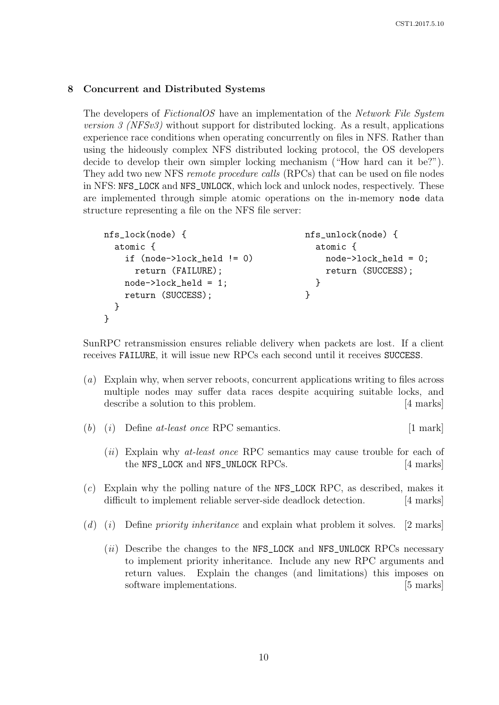#### 8 Concurrent and Distributed Systems

The developers of FictionalOS have an implementation of the Network File System version 3 (NFSv3) without support for distributed locking. As a result, applications experience race conditions when operating concurrently on files in NFS. Rather than using the hideously complex NFS distributed locking protocol, the OS developers decide to develop their own simpler locking mechanism ("How hard can it be?"). They add two new NFS remote procedure calls (RPCs) that can be used on file nodes in NFS: NFS\_LOCK and NFS\_UNLOCK, which lock and unlock nodes, respectively. These are implemented through simple atomic operations on the in-memory node data structure representing a file on the NFS file server:

```
nfs lock(node) { https://www.mfsunlock(node) { nfsunlock(node) {
 atomic { atomic { atomic }
   if (node->lock_held != 0) node->lock_held = 0;return (FAILURE); return (SUCCESS);
   node->lock_held = 1; }
   return (SUCCESS); }
 }
}
```
SunRPC retransmission ensures reliable delivery when packets are lost. If a client receives FAILURE, it will issue new RPCs each second until it receives SUCCESS.

- (a) Explain why, when server reboots, concurrent applications writing to files across multiple nodes may suffer data races despite acquiring suitable locks, and describe a solution to this problem. [4 marks]
- (b) (i) Define at-least once RPC semantics.  $[1 \text{ mark}]$ 
	- $(ii)$  Explain why *at-least once* RPC semantics may cause trouble for each of the NFS\_LOCK and NFS\_UNLOCK RPCs. [4 marks]
- (c) Explain why the polling nature of the NFS\_LOCK RPC, as described, makes it difficult to implement reliable server-side deadlock detection. [4 marks]
- (d) (i) Define priority inheritance and explain what problem it solves.  $[2 \text{ marks}]$ 
	- $(ii)$  Describe the changes to the NFS\_LOCK and NFS\_UNLOCK RPCs necessary to implement priority inheritance. Include any new RPC arguments and return values. Explain the changes (and limitations) this imposes on software implementations. [5 marks]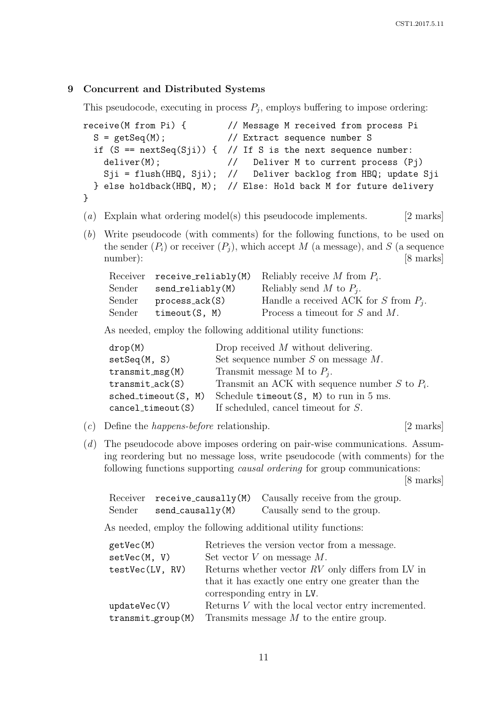#### 9 Concurrent and Distributed Systems

This pseudocode, executing in process  $P_j$ , employs buffering to impose ordering:

```
receive(M from Pi) { // Message M received from process Pi
 S = getSeq(M); // Extract sequence number S
 if (S == nextSeq(Sji)) { // If S is the next sequence number: }deliver(M); \frac{1}{2} Deliver M to current process (Pj)
   Sji = flush(HBQ, Sji); // Deliver backlog from HBQ; update Sji
 } else holdback(HBQ, M); // Else: Hold back M for future delivery
}
```
- (a) Explain what ordering model(s) this pseudocode implements. [2 marks]
- (b) Write pseudocode (with comments) for the following functions, to be used on the sender  $(P_i)$  or receiver  $(P_i)$ , which accept M (a message), and S (a sequence number): [8 marks]

|                    | Receiver receive_reliably(M) Reliably receive M from $P_i$ . |
|--------------------|--------------------------------------------------------------|
| $send_reliably(M)$ | Reliably send M to $P_i$ .                                   |
| processack(S)      | Handle a received ACK for S from $P_i$ .                     |
| timeout(S, M)      | Process a timeout for $S$ and $M$ .                          |
|                    |                                                              |

As needed, employ the following additional utility functions:

| drop(M)               | Drop received $M$ without delivering.             |
|-----------------------|---------------------------------------------------|
| setSeq(M, S)          | Set sequence number $S$ on message $M$ .          |
| $transmit_msg(M)$     | Transmit message M to $P_i$ .                     |
| $transmit-ack(S)$     | Transmit an ACK with sequence number S to $P_i$ . |
| $sched_timeout(S, M)$ | Schedule $\tt timeout(S, M)$ to run in 5 ms.      |
| $cancel\_timeout(S)$  | If scheduled, cancel timeout for S.               |
|                       |                                                   |

- (c) Define the *happens-before* relationship. [2 marks]
	-
- (d) The pseudocode above imposes ordering on pair-wise communications. Assuming reordering but no message loss, write pseudocode (with comments) for the following functions supporting causal ordering for group communications:

[8 marks]

|        |                  | Receiver $\mathbf{receiver}$ receive_causally(M) Causally receive from the group. |
|--------|------------------|-----------------------------------------------------------------------------------|
| Sender | send_causally(M) | Causally send to the group.                                                       |

As needed, employ the following additional utility functions:

| getVec(M)         | Retrieves the version vector from a message.         |
|-------------------|------------------------------------------------------|
| setVec(M, V)      | Set vector $V$ on message $M$ .                      |
| testVec(LV, RV)   | Returns whether vector $RV$ only differs from LV in  |
|                   | that it has exactly one entry one greater than the   |
|                   | corresponding entry in LV.                           |
| updateVec(V)      | Returns $V$ with the local vector entry incremented. |
| transmit_group(M) | Transmits message $M$ to the entire group.           |